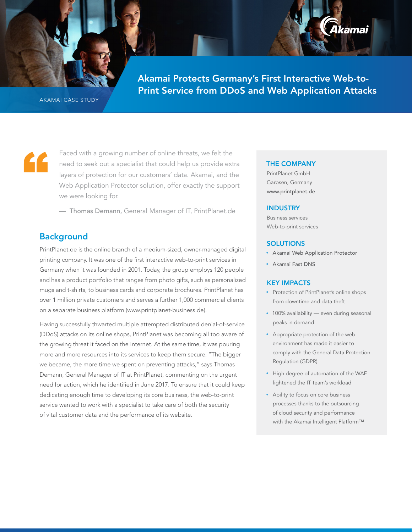AKAMAI CASE STUDY

Faced with a growing number of online threats, we felt the need to seek out a specialist that could help us provide extra layers of protection for our customers' data. Akamai, and the Web Application Protector solution, offer exactly the support we were looking for.

Akamai Protects Germany's First Interactive Web-to-Print

Service from DDoS and Web Application Attacks

— Thomas Demann, General Manager of IT, PrintPlanet.de

# **Background**

"

PrintPlanet.de is the online branch of a medium-sized, owner-managed digital printing company. It was one of the first interactive web-to-print services in Germany when it was founded in 2001. Today, the group employs 120 people and has a product portfolio that ranges from photo gifts, such as personalized mugs and t-shirts, to business cards and corporate brochures. PrintPlanet has over 1 million private customers and serves a further 1,000 commercial clients on a separate business platform (www.printplanet-business.de).

Having successfully thwarted multiple attempted distributed denial-of-service (DDoS) attacks on its online shops, PrintPlanet was becoming all too aware of the growing threat it faced on the Internet. At the same time, it was pouring more and more resources into its services to keep them secure. "The bigger we became, the more time we spent on preventing attacks," says Thomas Demann, General Manager of IT at PrintPlanet, commenting on the urgent need for action, which he identified in June 2017. To ensure that it could keep dedicating enough time to developing its core business, the web-to-print service wanted to work with a specialist to take care of both the security of vital customer data and the performance of its website.

### THE COMPANY

Akamai Protects Germany's First Interactive Web-to-Print Service from DDoS and Web Application Attacks

> PrintPlanet GmbH Garbsen, Germany [www.printplanet.de](http://www.printplanet.de)

### **INDUSTRY**

Business services Web-to-print services

### **SOLUTIONS**

• [Akamai Web Application Protector](https://www.akamai.com/us/en/products/cloud-security/web-application-protector-enterprise-waf-firewall-ddos-protection.jsp)

lkamai

• [Akamai Fast DNS](https://www.akamai.com/uk/en/products/cloud-security/fast-dns.jsp)

## KEY IMPACTS

- Protection of PrintPlanet's online shops from downtime and data theft
- 100% availability even during seasonal peaks in demand
- Appropriate protection of the web environment has made it easier to comply with the General Data Protection Regulation (GDPR)
- High degree of automation of the WAF lightened the IT team's workload
- Ability to focus on core business processes thanks to the outsourcing of cloud security and performance with the Akamai Intelligent Platform™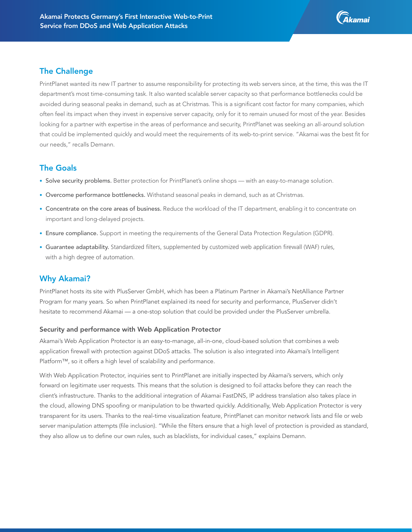

## The Challenge

PrintPlanet wanted its new IT partner to assume responsibility for protecting its web servers since, at the time, this was the IT department's most time-consuming task. It also wanted scalable server capacity so that performance bottlenecks could be avoided during seasonal peaks in demand, such as at Christmas. This is a significant cost factor for many companies, which often feel its impact when they invest in expensive server capacity, only for it to remain unused for most of the year. Besides looking for a partner with expertise in the areas of performance and security, PrintPlanet was seeking an all-around solution that could be implemented quickly and would meet the requirements of its web-to-print service. "Akamai was the best fit for our needs," recalls Demann.

## The Goals

- Solve security problems. Better protection for PrintPlanet's online shops with an easy-to-manage solution.
- Overcome performance bottlenecks. Withstand seasonal peaks in demand, such as at Christmas.
- Concentrate on the core areas of business. Reduce the workload of the IT department, enabling it to concentrate on important and long-delayed projects.
- Ensure compliance. Support in meeting the requirements of the General Data Protection Regulation (GDPR).
- Guarantee adaptability. Standardized filters, supplemented by customized web application firewall (WAF) rules, with a high degree of automation.

# Why Akamai?

PrintPlanet hosts its site with PlusServer GmbH, which has been a Platinum Partner in Akamai's NetAlliance Partner Program for many years. So when PrintPlanet explained its need for security and performance, PlusServer didn't hesitate to recommend Akamai — a one-stop solution that could be provided under the PlusServer umbrella.

### Security and performance with Web Application Protector

Akamai's Web Application Protector is an easy-to-manage, all-in-one, cloud-based solution that combines a web application firewall with protection against DDoS attacks. The solution is also integrated into Akamai's Intelligent Platform™, so it offers a high level of scalability and performance.

With Web Application Protector, inquiries sent to PrintPlanet are initially inspected by Akamai's servers, which only forward on legitimate user requests. This means that the solution is designed to foil attacks before they can reach the client's infrastructure. Thanks to the additional integration of Akamai FastDNS, IP address translation also takes place in the cloud, allowing DNS spoofing or manipulation to be thwarted quickly. Additionally, Web Application Protector is very transparent for its users. Thanks to the real-time visualization feature, PrintPlanet can monitor network lists and file or web server manipulation attempts (file inclusion). "While the filters ensure that a high level of protection is provided as standard, they also allow us to define our own rules, such as blacklists, for individual cases," explains Demann.